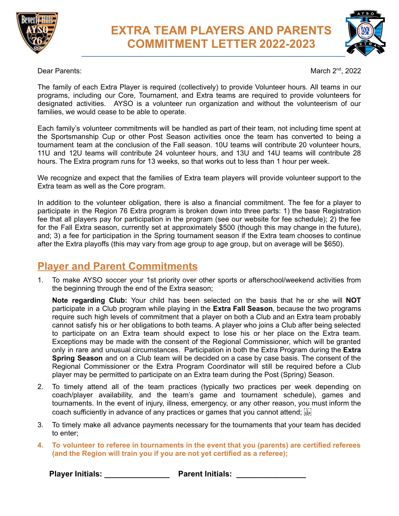

## **EXTRA TEAM PLAYERS AND PARENTS COMMITMENT LETTER 2022-2023**



Dear Parents:

nd , 2022

The family of each Extra Player is required (collectively) to provide Volunteer hours. All teams in our programs, including our Core, Tournament, and Extra teams are required to provide volunteers for designated activities. AYSO is a volunteer run organization and without the volunteerism of our families, we would cease to be able to operate.

Each family's volunteer commitments will be handled as part of their team, not including time spent at the Sportsmanship Cup or other Post Season activities once the team has converted to being a tournament team at the conclusion of the Fall season. 10U teams will contribute 20 volunteer hours, 11U and 12U teams will contribute 24 volunteer hours, and 13U and 14U teams will contribute 28 hours. The Extra program runs for 13 weeks, so that works out to less than 1 hour per week.

We recognize and expect that the families of Extra team players will provide volunteer support to the Extra team as well as the Core program.

In addition to the volunteer obligation, there is also a financial commitment. The fee for a player to participate in the Region 76 Extra program is broken down into three parts: 1) the base Registration fee that all players pay for participation in the program (see our website for fee schedule); 2) the fee for the Fall Extra season, currently set at approximately \$500 (though this may change in the future), and; 3) a fee for participation in the Spring tournament season if the Extra team chooses to continue after the Extra playoffs (this may vary from age group to age group, but on average will be \$650).

## **Player and Parent Commitments**

1. To make AYSO soccer your 1st priority over other sports or afterschool/weekend activities from the beginning through the end of the Extra season;

**Note regarding Club:** Your child has been selected on the basis that he or she will **NOT** participate in a Club program while playing in the **Extra Fall Season**, because the two programs require such high levels of commitment that a player on both a Club and an Extra team probably cannot satisfy his or her obligations to both teams. A player who joins a Club after being selected to participate on an Extra team should expect to lose his or her place on the Extra team. Exceptions may be made with the consent of the Regional Commissioner, which will be granted only in rare and unusual circumstances. Participation in both the Extra Program during the **Extra Spring Season** and on a Club team will be decided on a case by case basis. The consent of the Regional Commissioner or the Extra Program Coordinator will still be required before a Club player may be permitted to participate on an Extra team during the Post (Spring) Season.

- 2. To timely attend all of the team practices (typically two practices per week depending on coach/player availability, and the team's game and tournament schedule), games and tournaments. In the event of injury, illness, emergency, or any other reason, you must inform the coach sufficiently in advance of any practices or games that you cannot attend;  $\frac{1}{346}$
- 3. To timely make all advance payments necessary for the tournaments that your team has decided to enter;
- **4. To volunteer to referee in tournaments in the event that you (parents) are certified referees (and the Region will train you if you are not yet certified as a referee);**

**Player Initials: \_\_\_\_\_\_\_\_\_\_\_\_\_\_\_ Parent Initials: \_\_\_\_\_\_\_\_\_\_\_\_\_\_\_\_**